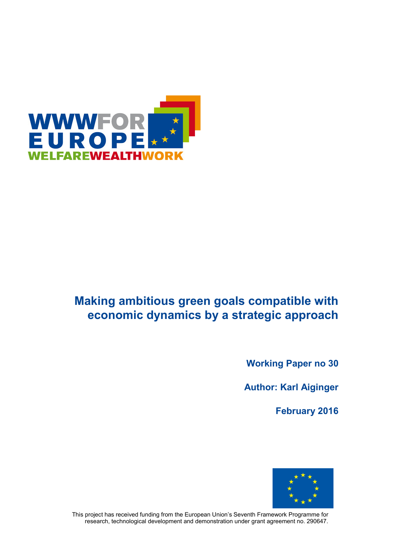

# **Making ambitious green goals compatible with economic dynamics by a strategic approach**

**Working Paper no 30**

**Author: Karl Aiginger**

**February 2016**



This project has received funding from the European Union's Seventh Framework Programme for research, technological development and demonstration under grant agreement no. 290647.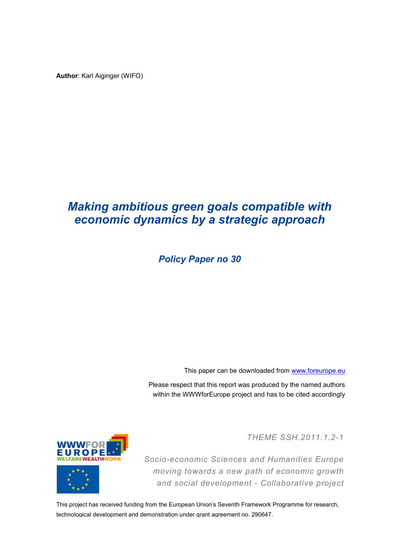**Author**: Karl Aiginger (WIFO)

# *Making ambitious green goals compatible with economic dynamics by a strategic approach*

*Policy Paper no 30*

This paper can be downloaded from [www.foreurope.eu](http://www.foreurope.eu/)

Please respect that this report was produced by the named authors within the WWWforEurope project and has to be cited accordingly

*THEME SSH.2011.1.2-1*





*Socio-economic Sciences and Humanities Europe moving towards a new path of economic growth and social development - Collaborative project*

This project has received funding from the European Union's Seventh Framework Programme for research, technological development and demonstration under grant agreement no. 290647.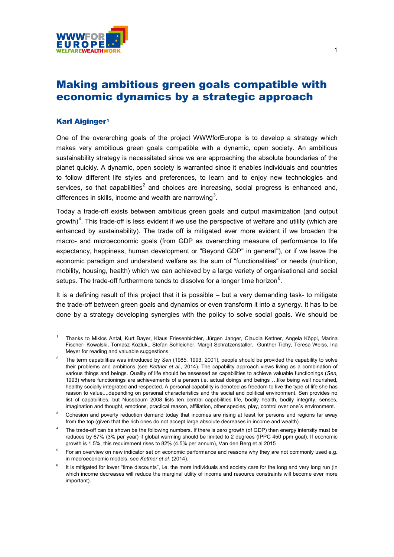

# Making ambitious green goals compatible with economic dynamics by a strategic approach

#### Karl Aiginger[1](#page-2-0)

One of the overarching goals of the project WWWforEurope is to develop a strategy which makes very ambitious green goals compatible with a dynamic, open society. An ambitious sustainability strategy is necessitated since we are approaching the absolute boundaries of the planet quickly. A dynamic, open society is warranted since it enables individuals and countries to follow different life styles and preferences, to learn and to enjoy new technologies and services, so that capabilities<sup>[2](#page-2-1)</sup> and choices are increasing, social progress is enhanced and, differences in skills, income and wealth are narrowing<sup>[3](#page-2-2)</sup>.

Today a trade-off exists between ambitious green goals and output maximization (and output growth)<sup>[4](#page-2-3)</sup>. This trade-off is less evident if we use the perspective of welfare and utility (which are enhanced by sustainability). The trade off is mitigated ever more evident if we broaden the macro- and microeconomic goals (from GDP as overarching measure of performance to life expectancy, happiness, human development or "Beyond GDP" in general<sup>[5](#page-2-4)</sup>), or if we leave the economic paradigm and understand welfare as the sum of "functionalities" or needs (nutrition, mobility, housing, health) which we can achieved by a large variety of organisational and social setups. The trade-off furthermore tends to dissolve for a longer time horizon $^6$  $^6$ .

It is a defining result of this project that it is possible – but a very demanding task- to mitigate the trade-off between green goals and dynamics or even transform it into a synergy. It has to be done by a strategy developing synergies with the policy to solve social goals. We should be

<span id="page-2-0"></span> <sup>1</sup> Thanks to Miklos Antal, Kurt Bayer, Klaus Friesenbichler, Jürgen Janger, Claudia Kettner, Angela Köppl, Marina Fischer- Kowalski, Tomasz Kozluk,, Stefan Schleicher, Margit Schratzenstaller, Gunther Tichy, Teresa Weiss, Ina Meyer for reading and valuable suggestions.

<span id="page-2-1"></span><sup>2</sup> The term capabilities was introduced by *Sen* (1985, 1993, 2001), people should be provided the capability to solve their problems and ambitions (see *Kettner et al.*, 2014). The capability approach views living as a combination of various things and beings. Quality of life should be assessed as capabilities to achieve valuable functionings (*Sen*, 1993) where functionings are achievements of a person i.e. actual doings and beings …like being well nourished, healthy socially integrated and respected. A personal capability is denoted as freedom to live the type of life she has reason to value....depending on personal characteristics and the social and political environment. Sen provides no list of capabilities, but Nussbaum 2008 lists ten central capabilities life, bodily health, bodily integrity, senses, imagination and thought, emotions, practical reason, affiliation, other species, play, control over one´s environment.

<span id="page-2-2"></span> $3$  Cohesion and poverty reduction demand today that incomes are rising at least for persons and regions far away from the top (given that the rich ones do not accept large absolute decreases in income and wealth).

<span id="page-2-3"></span>The trade-off can be shown be the following numbers. If there is zero growth (of GDP) then energy intensity must be reduces by 67% (3% per year) if global warming should be limited to 2 degrees (IPPC 450 ppm goal). If economic growth is 1.5%, this requirement rises to 82% (4.5% per annum), Van den Berg et al 2015

<span id="page-2-4"></span><sup>&</sup>lt;sup>5</sup> For an overview on new indicator set on economic performance and reasons why they are not commonly used e.g. in macroeconomic models, see *Kettner et al.* (2014).

<span id="page-2-5"></span>It is mitigated for lower "time discounts", i.e. the more individuals and society care for the long and very long run (in which income decreases will reduce the marginal utility of income and resource constraints will become ever more important).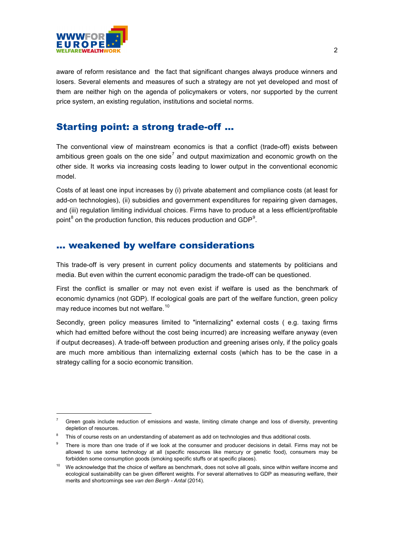

aware of reform resistance and the fact that significant changes always produce winners and losers. Several elements and measures of such a strategy are not yet developed and most of them are neither high on the agenda of policymakers or voters, nor supported by the current price system, an existing regulation, institutions and societal norms.

## Starting point: a strong trade-off ...

The conventional view of mainstream economics is that a conflict (trade-off) exists between ambitious green goals on the one side<sup>[7](#page-3-0)</sup> and output maximization and economic growth on the other side. It works via increasing costs leading to lower output in the conventional economic model.

Costs of at least one input increases by (i) private abatement and compliance costs (at least for add-on technologies), (ii) subsidies and government expenditures for repairing given damages, and (iii) regulation limiting individual choices. Firms have to produce at a less efficient/profitable point $^8$  $^8$  on the production function, this reduces production and GDP $^9$  $^9$ .

### ... weakened by welfare considerations

This trade-off is very present in current policy documents and statements by politicians and media. But even within the current economic paradigm the trade-off can be questioned.

First the conflict is smaller or may not even exist if welfare is used as the benchmark of economic dynamics (not GDP). If ecological goals are part of the welfare function, green policy may reduce incomes but not welfare.<sup>[10](#page-3-3)</sup>

Secondly, green policy measures limited to "internalizing" external costs ( e.g. taxing firms which had emitted before without the cost being incurred) are increasing welfare anyway (even if output decreases). A trade-off between production and greening arises only, if the policy goals are much more ambitious than internalizing external costs (which has to be the case in a strategy calling for a socio economic transition.

<span id="page-3-0"></span>Green goals include reduction of emissions and waste, limiting climate change and loss of diversity, preventing depletion of resources.

<span id="page-3-1"></span>This of course rests on an understanding of abatement as add on technologies and thus additional costs.

<span id="page-3-2"></span>There is more than one trade of if we look at the consumer and producer decisions in detail. Firms may not be allowed to use some technology at all (specific resources like mercury or genetic food), consumers may be forbidden some consumption goods (smoking specific stuffs or at specific places).

<span id="page-3-3"></span><sup>&</sup>lt;sup>10</sup> We acknowledge that the choice of welfare as benchmark, does not solve all goals, since within welfare income and ecological sustainability can be given different weights. For several alternatives to GDP as measuring welfare, their merits and shortcomings see *van den Bergh - Antal* (2014).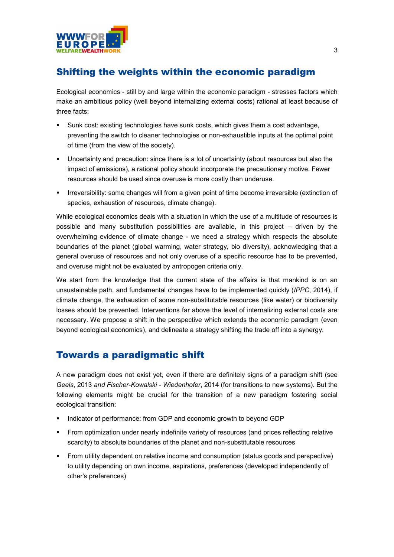

### Shifting the weights within the economic paradigm

Ecological economics - still by and large within the economic paradigm - stresses factors which make an ambitious policy (well beyond internalizing external costs) rational at least because of three facts:

- Sunk cost: existing technologies have sunk costs, which gives them a cost advantage, preventing the switch to cleaner technologies or non-exhaustible inputs at the optimal point of time (from the view of the society).
- Uncertainty and precaution: since there is a lot of uncertainty (about resources but also the impact of emissions), a rational policy should incorporate the precautionary motive. Fewer resources should be used since overuse is more costly than underuse.
- Irreversibility: some changes will from a given point of time become irreversible (extinction of species, exhaustion of resources, climate change).

While ecological economics deals with a situation in which the use of a multitude of resources is possible and many substitution possibilities are available, in this project – driven by the overwhelming evidence of climate change - we need a strategy which respects the absolute boundaries of the planet (global warming, water strategy, bio diversity), acknowledging that a general overuse of resources and not only overuse of a specific resource has to be prevented, and overuse might not be evaluated by antropogen criteria only.

We start from the knowledge that the current state of the affairs is that mankind is on an unsustainable path, and fundamental changes have to be implemented quickly (*IPPC*, 2014), if climate change, the exhaustion of some non-substitutable resources (like water) or biodiversity losses should be prevented. Interventions far above the level of internalizing external costs are necessary. We propose a shift in the perspective which extends the economic paradigm (even beyond ecological economics), and delineate a strategy shifting the trade off into a synergy.

### Towards a paradigmatic shift

A new paradigm does not exist yet, even if there are definitely signs of a paradigm shift (see *Geels*, 2013 *and Fischer-Kowalski - Wiedenhofer*, 2014 (for transitions to new systems). But the following elements might be crucial for the transition of a new paradigm fostering social ecological transition:

- Indicator of performance: from GDP and economic growth to beyond GDP
- From optimization under nearly indefinite variety of resources (and prices reflecting relative scarcity) to absolute boundaries of the planet and non-substitutable resources
- From utility dependent on relative income and consumption (status goods and perspective) to utility depending on own income, aspirations, preferences (developed independently of other's preferences)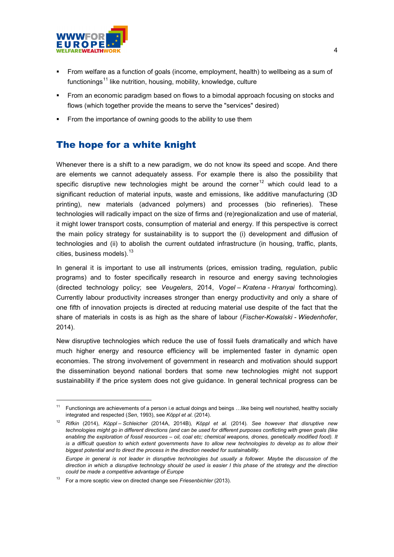

- From welfare as a function of goals (income, employment, health) to wellbeing as a sum of functionings<sup>[11](#page-5-0)</sup> like nutrition, housing, mobility, knowledge, culture
- From an economic paradigm based on flows to a bimodal approach focusing on stocks and flows (which together provide the means to serve the "services" desired)
- From the importance of owning goods to the ability to use them

## The hope for a white knight

Whenever there is a shift to a new paradigm, we do not know its speed and scope. And there are elements we cannot adequately assess. For example there is also the possibility that specific disruptive new technologies might be around the corner<sup>[12](#page-5-1)</sup> which could lead to a significant reduction of material inputs, waste and emissions, like additive manufacturing (3D printing), new materials (advanced polymers) and processes (bio refineries). These technologies will radically impact on the size of firms and (re)regionalization and use of material, it might lower transport costs, consumption of material and energy. If this perspective is correct the main policy strategy for sustainability is to support the (i) development and diffusion of technologies and (ii) to abolish the current outdated infrastructure (in housing, traffic, plants, cities, business models).  $13$ 

In general it is important to use all instruments (prices, emission trading, regulation, public programs) and to foster specifically research in resource and energy saving technologies (directed technology policy; see *Veugelers*, 2014, *Vogel – Kratena - Hranyai* forthcoming). Currently labour productivity increases stronger than energy productivity and only a share of one fifth of innovation projects is directed at reducing material use despite of the fact that the share of materials in costs is as high as the share of labour (*Fischer-Kowalski - Wiedenhofer*, 2014).

New disruptive technologies which reduce the use of fossil fuels dramatically and which have much higher energy and resource efficiency will be implemented faster in dynamic open economies. The strong involvement of government in research and motivation should support the dissemination beyond national borders that some new technologies might not support sustainability if the price system does not give guidance. In general technical progress can be

<span id="page-5-0"></span><sup>&</sup>lt;sup>11</sup> Functionings are achievements of a person i.e actual doings and beings ...like being well nourished, healthy socially integrated and respected (*Sen*, 1993), see *Köppl et al.* (2014).

<span id="page-5-1"></span><sup>12</sup> *Rifkin* (2014), *Köppl – Schleicher* (2014A, 2014B)*, Köppl et al.* (2014)*. See however that disruptive new technologies might go in different directions (and can be used for different purposes conflicting with green goals (like enabling the exploration of fossil resources – oil, coal etc; chemical weapons, drones, genetically modified food). It is a difficult question to which extent governments have to allow new technologies to develop as to allow their biggest potential and to direct the process in the direction needed for sustainability.*

*Europe in general is not leader in disruptive technologies but usually a follower. Maybe the discussion of the direction in which a disruptive technology should be used is easier I this phase of the strategy and the direction could be made a competitive advantage of Europe* 

<span id="page-5-2"></span><sup>13</sup> For a more sceptic view on directed change see *Friesenbichler* (2013).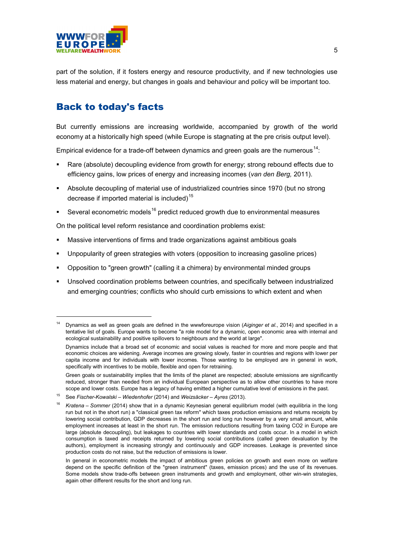

part of the solution, if it fosters energy and resource productivity, and if new technologies use less material and energy, but changes in goals and behaviour and policy will be important too.

# Back to today's facts

But currently emissions are increasing worldwide, accompanied by growth of the world economy at a historically high speed (while Europe is stagnating at the pre crisis output level).

Empirical evidence for a trade-off between dynamics and green goals are the numerous<sup>[14](#page-6-0)</sup>:

- Rare (absolute) decoupling evidence from growth for energy; strong rebound effects due to efficiency gains, low prices of energy and increasing incomes (*van den Berg,* 2011).
- Absolute decoupling of material use of industrialized countries since 1970 (but no strong decrease if imported material is included)<sup>[15](#page-6-1)</sup>
- **Several econometric models**<sup>[16](#page-6-2)</sup> predict reduced growth due to environmental measures

On the political level reform resistance and coordination problems exist:

- Massive interventions of firms and trade organizations against ambitious goals
- Unpopularity of green strategies with voters (opposition to increasing gasoline prices)
- Opposition to "green growth" (calling it a chimera) by environmental minded groups
- Unsolved coordination problems between countries, and specifically between industrialized and emerging countries; conflicts who should curb emissions to which extent and when

Green goals or sustainability implies that the limits of the planet are respected; absolute emissions are significantly reduced, stronger than needed from an individual European perspective as to allow other countries to have more scope and lower costs. Europe has a legacy of having emitted a higher cumulative level of emissions in the past.

<span id="page-6-0"></span> <sup>14</sup> Dynamics as well as green goals are defined in the wwwforeurope vision (*Aiginger et al.*, 2014) and specified in a tentative list of goals. Europe wants to become "a role model for a dynamic, open economic area with internal and ecological sustainability and positive spillovers to neighbours and the world at large".

Dynamics include that a broad set of economic and social values is reached for more and more people and that economic choices are widening. Average incomes are growing slowly, faster in countries and regions with lower per capita income and for individuals with lower incomes. Those wanting to be employed are in general in work, specifically with incentives to be mobile, flexible and open for retraining.

<span id="page-6-1"></span><sup>15</sup> See *Fischer-Kowalski – Wiedenhofer* (2014) and *Weizsäcker – Ayres* (2013)*.* 

<span id="page-6-2"></span><sup>16</sup> *Kratena – Sommer* (2014) show that in a dynamic Keynesian general equilibrium model (with equilibria in the long run but not in the short run) a "classical green tax reform" which taxes production emissions and returns receipts by lowering social contribution, GDP decreases in the short run and long run however by a very small amount, while employment increases at least in the short run. The emission reductions resulting from taxing CO2 in Europe are large (absolute decoupling), but leakages to countries with lower standards and costs occur. In a model in which consumption is taxed and receipts returned by lowering social contributions (called green devaluation by the authors), employment is increasing strongly and continuously and GDP increases. Leakage is prevented since production costs do not raise, but the reduction of emissions is lower.

In general in econometric models the impact of ambitious green policies on growth and even more on welfare depend on the specific definition of the "green instrument" (taxes, emission prices) and the use of its revenues. Some models show trade-offs between green instruments and growth and employment, other win-win strategies, again other different results for the short and long run.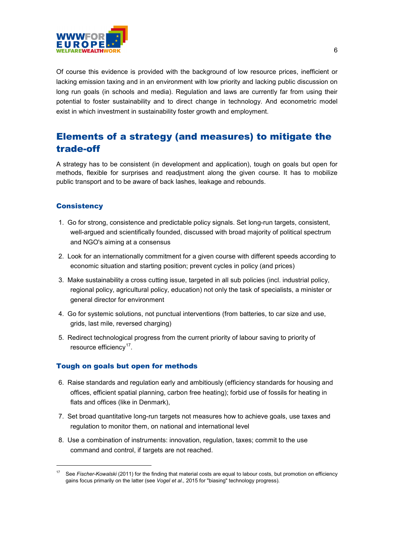

Of course this evidence is provided with the background of low resource prices, inefficient or lacking emission taxing and in an environment with low priority and lacking public discussion on long run goals (in schools and media). Regulation and laws are currently far from using their potential to foster sustainability and to direct change in technology. And econometric model exist in which investment in sustainability foster growth and employment.

# Elements of a strategy (and measures) to mitigate the trade-off

A strategy has to be consistent (in development and application), tough on goals but open for methods, flexible for surprises and readjustment along the given course. It has to mobilize public transport and to be aware of back lashes, leakage and rebounds.

#### **Consistency**

- 1. Go for strong, consistence and predictable policy signals. Set long-run targets, consistent, well-argued and scientifically founded, discussed with broad majority of political spectrum and NGO's aiming at a consensus
- 2. Look for an internationally commitment for a given course with different speeds according to economic situation and starting position; prevent cycles in policy (and prices)
- 3. Make sustainability a cross cutting issue, targeted in all sub policies (incl. industrial policy, regional policy, agricultural policy, education) not only the task of specialists, a minister or general director for environment
- 4. Go for systemic solutions, not punctual interventions (from batteries, to car size and use, grids, last mile, reversed charging)
- 5. Redirect technological progress from the current priority of labour saving to priority of resource efficiency<sup>[17](#page-7-0)</sup>.

#### Tough on goals but open for methods

- 6. Raise standards and regulation early and ambitiously (efficiency standards for housing and offices, efficient spatial planning, carbon free heating); forbid use of fossils for heating in flats and offices (like in Denmark),
- 7. Set broad quantitative long-run targets not measures how to achieve goals, use taxes and regulation to monitor them, on national and international level
- 8. Use a combination of instruments: innovation, regulation, taxes; commit to the use command and control, if targets are not reached.

<span id="page-7-0"></span> <sup>17</sup> See *Fischer-Kowalski* (2011) for the finding that material costs are equal to labour costs, but promotion on efficiency gains focus primarily on the latter (see *Vogel et al.,* 2015 for "biasing" technology progress).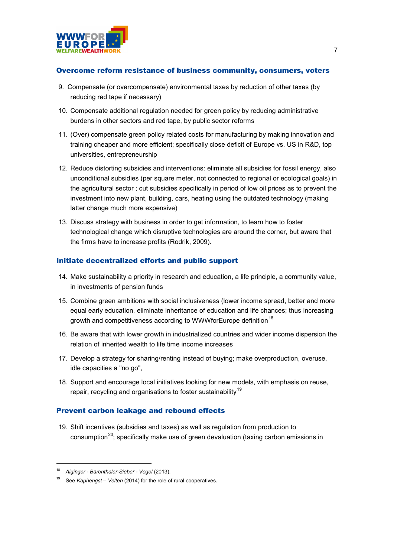

#### Overcome reform resistance of business community, consumers, voters

- 9. Compensate (or overcompensate) environmental taxes by reduction of other taxes (by reducing red tape if necessary)
- 10. Compensate additional regulation needed for green policy by reducing administrative burdens in other sectors and red tape, by public sector reforms
- 11. (Over) compensate green policy related costs for manufacturing by making innovation and training cheaper and more efficient; specifically close deficit of Europe vs. US in R&D, top universities, entrepreneurship
- 12. Reduce distorting subsidies and interventions: eliminate all subsidies for fossil energy, also unconditional subsidies (per square meter, not connected to regional or ecological goals) in the agricultural sector ; cut subsidies specifically in period of low oil prices as to prevent the investment into new plant, building, cars, heating using the outdated technology (making latter change much more expensive)
- 13. Discuss strategy with business in order to get information, to learn how to foster technological change which disruptive technologies are around the corner, but aware that the firms have to increase profits (Rodrik, 2009).

#### Initiate decentralized efforts and public support

- 14. Make sustainability a priority in research and education, a life principle, a community value, in investments of pension funds
- 15. Combine green ambitions with social inclusiveness (lower income spread, better and more equal early education, eliminate inheritance of education and life chances; thus increasing growth and competitiveness according to WWWforEurope definition<sup>[18](#page-8-0)</sup>
- 16. Be aware that with lower growth in industrialized countries and wider income dispersion the relation of inherited wealth to life time income increases
- 17. Develop a strategy for sharing/renting instead of buying; make overproduction, overuse, idle capacities a "no go",
- 18. Support and encourage local initiatives looking for new models, with emphasis on reuse, repair, recycling and organisations to foster sustainability<sup>[19](#page-8-1)</sup>

#### Prevent carbon leakage and rebound effects

19. Shift incentives (subsidies and taxes) as well as regulation from production to consumption<sup>[20](#page-8-2)</sup>; specifically make use of green devaluation (taxing carbon emissions in

<span id="page-8-2"></span><span id="page-8-1"></span><span id="page-8-0"></span> <sup>18</sup> *Aiginger - Bärenthaler-Sieber - Vogel* (2013).

<sup>19</sup> See *Kaphengst – Velten* (2014) for the role of rural cooperatives.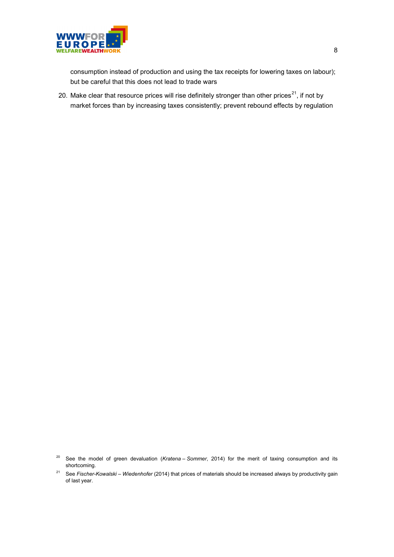

consumption instead of production and using the tax receipts for lowering taxes on labour); but be careful that this does not lead to trade wars

20. Make clear that resource prices will rise definitely stronger than other prices<sup>[21](#page-9-0)</sup>, if not by market forces than by increasing taxes consistently; prevent rebound effects by regulation

<sup>&</sup>lt;sup>20</sup> See the model of green devaluation (*Kratena - Sommer*, 2014) for the merit of taxing consumption and its shortcoming.

<span id="page-9-0"></span><sup>21</sup> See *Fischer-Kowalski – Wiedenhofer* (2014) that prices of materials should be increased always by productivity gain of last year.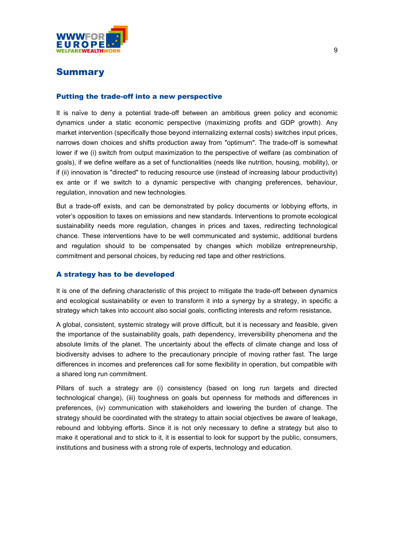

### Summary

#### Putting the trade-off into a new perspective

It is naïve to deny a potential trade-off between an ambitious green policy and economic dynamics under a static economic perspective (maximizing profits and GDP growth). Any market intervention (specifically those beyond internalizing external costs) switches input prices, narrows down choices and shifts production away from "optimum". The trade-off is somewhat lower if we (i) switch from output maximization to the perspective of welfare (as combination of goals), if we define welfare as a set of functionalities (needs like nutrition, housing, mobility), or if (ii) innovation is "directed" to reducing resource use (instead of increasing labour productivity) ex ante or if we switch to a dynamic perspective with changing preferences, behaviour, regulation, innovation and new technologies.

But a trade-off exists, and can be demonstrated by policy documents or lobbying efforts, in voter's opposition to taxes on emissions and new standards. Interventions to promote ecological sustainability needs more regulation, changes in prices and taxes, redirecting technological chance. These interventions have to be well communicated and systemic, additional burdens and regulation should to be compensated by changes which mobilize entrepreneurship, commitment and personal choices, by reducing red tape and other restrictions.

#### A strategy has to be developed

It is one of the defining characteristic of this project to mitigate the trade-off between dynamics and ecological sustainability or even to transform it into a synergy by a strategy, in specific a strategy which takes into account also social goals, conflicting interests and reform resistance**.**

A global, consistent, systemic strategy will prove difficult, but it is necessary and feasible, given the importance of the sustainability goals, path dependency, irreversibility phenomena and the absolute limits of the planet. The uncertainty about the effects of climate change and loss of biodiversity advises to adhere to the precautionary principle of moving rather fast. The large differences in incomes and preferences call for some flexibility in operation, but compatible with a shared long run commitment.

Pillars of such a strategy are (i) consistency (based on long run targets and directed technological change), (iii) toughness on goals but openness for methods and differences in preferences, (iv) communication with stakeholders and lowering the burden of change. The strategy should be coordinated with the strategy to attain social objectives be aware of leakage, rebound and lobbying efforts. Since it is not only necessary to define a strategy but also to make it operational and to stick to it, it is essential to look for support by the public, consumers, institutions and business with a strong role of experts, technology and education.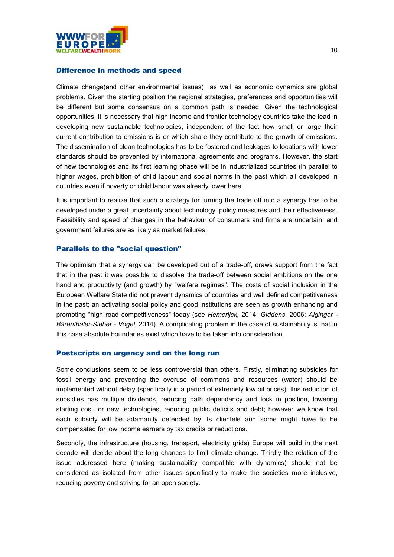

#### Difference in methods and speed

Climate change(and other environmental issues) as well as economic dynamics are global problems. Given the starting position the regional strategies, preferences and opportunities will be different but some consensus on a common path is needed. Given the technological opportunities, it is necessary that high income and frontier technology countries take the lead in developing new sustainable technologies, independent of the fact how small or large their current contribution to emissions is or which share they contribute to the growth of emissions. The dissemination of clean technologies has to be fostered and leakages to locations with lower standards should be prevented by international agreements and programs. However, the start of new technologies and its first learning phase will be in industrialized countries (in parallel to higher wages, prohibition of child labour and social norms in the past which all developed in countries even if poverty or child labour was already lower here.

It is important to realize that such a strategy for turning the trade off into a synergy has to be developed under a great uncertainty about technology, policy measures and their effectiveness. Feasibility and speed of changes in the behaviour of consumers and firms are uncertain, and government failures are as likely as market failures.

#### Parallels to the "social question"

The optimism that a synergy can be developed out of a trade-off, draws support from the fact that in the past it was possible to dissolve the trade-off between social ambitions on the one hand and productivity (and growth) by "welfare regimes". The costs of social inclusion in the European Welfare State did not prevent dynamics of countries and well defined competitiveness in the past; an activating social policy and good institutions are seen as growth enhancing and promoting "high road competitiveness" today (see *Hemerijck,* 2014; *Giddens*, 2006; *Aiginger - Bärenthaler-Sieber - Vogel*, 2014). A complicating problem in the case of sustainability is that in this case absolute boundaries exist which have to be taken into consideration.

#### Postscripts on urgency and on the long run

Some conclusions seem to be less controversial than others. Firstly, eliminating subsidies for fossil energy and preventing the overuse of commons and resources (water) should be implemented without delay (specifically in a period of extremely low oil prices); this reduction of subsidies has multiple dividends, reducing path dependency and lock in position, lowering starting cost for new technologies, reducing public deficits and debt; however we know that each subsidy will be adamantly defended by its clientele and some might have to be compensated for low income earners by tax credits or reductions.

Secondly, the infrastructure (housing, transport, electricity grids) Europe will build in the next decade will decide about the long chances to limit climate change. Thirdly the relation of the issue addressed here (making sustainability compatible with dynamics) should not be considered as isolated from other issues specifically to make the societies more inclusive, reducing poverty and striving for an open society.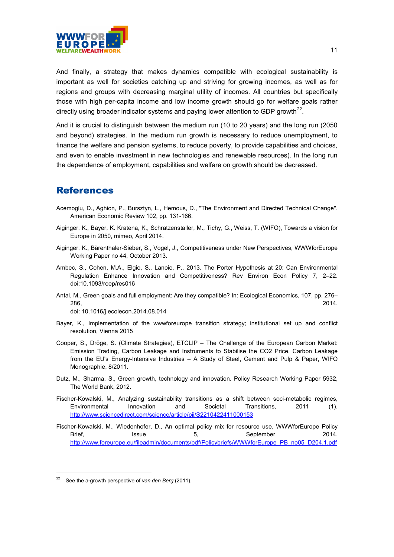

And finally, a strategy that makes dynamics compatible with ecological sustainability is important as well for societies catching up and striving for growing incomes, as well as for regions and groups with decreasing marginal utility of incomes. All countries but specifically those with high per-capita income and low income growth should go for welfare goals rather directly using broader indicator systems and paying lower attention to GDP growth<sup>[22](#page-12-0)</sup>.

And it is crucial to distinguish between the medium run (10 to 20 years) and the long run (2050 and beyond) strategies. In the medium run growth is necessary to reduce unemployment, to finance the welfare and pension systems, to reduce poverty, to provide capabilities and choices, and even to enable investment in new technologies and renewable resources). In the long run the dependence of employment, capabilities and welfare on growth should be decreased.

### References

- Acemoglu, D., Aghion, P., Bursztyn, L., Hemous, D., "The Environment and Directed Technical Change". American Economic Review 102, pp. 131-166.
- Aiginger, K., Bayer, K. Kratena, K., Schratzenstaller, M., Tichy, G., Weiss, T. (WIFO), Towards a vision for Europe in 2050, mimeo, April 2014.
- Aiginger, K., Bärenthaler-Sieber, S., Vogel, J., Competitiveness under New Perspectives, WWWforEurope Working Paper no 44, October 2013.
- Ambec, S., Cohen, M.A., Elgie, S., Lanoie, P., 2013. The Porter Hypothesis at 20: Can Environmental Regulation Enhance Innovation and Competitiveness? Rev Environ Econ Policy 7, 2–22. doi:10.1093/reep/res016
- Antal, M., Green goals and full employment: Are they compatible? In: Ecological Economics, 107, pp. 276– 286, 2014.

doi: 10.1016/j.ecolecon.2014.08.014

- Bayer, K., Implementation of the wwwforeurope transition strategy; institutional set up and conflict resolution, Vienna 2015
- Cooper, S., Dröge, S. (Climate Strategies), ETCLIP The Challenge of the European Carbon Market: Emission Trading, Carbon Leakage and Instruments to Stabilise the CO2 Price. Carbon Leakage from the EU's Energy-Intensive Industries – A Study of Steel, Cement and Pulp & Paper, WIFO Monographie, 8/2011.
- Dutz, M., Sharma, S., Green growth, technology and innovation. Policy Research Working Paper 5932, The World Bank, 2012.
- Fischer-Kowalski, M., Analyzing sustainability transitions as a shift between soci-metabolic regimes, Environmental Innovation and Societal Transitions, 2011 (1). <http://www.sciencedirect.com/science/article/pii/S2210422411000153>
- Fischer-Kowalski, M., Wiedenhofer, D., An optimal policy mix for resource use, WWWforEurope Policy Brief, Issue 5, September 2014. [http://www.foreurope.eu/fileadmin/documents/pdf/Policybriefs/WWWforEurope\\_PB\\_no05\\_D204.1.pdf](http://www.foreurope.eu/fileadmin/documents/pdf/Policybriefs/WWWforEurope_PB_no05_D204.1.pdf)

<span id="page-12-0"></span>See the a-growth perspective of van den Berg (2011).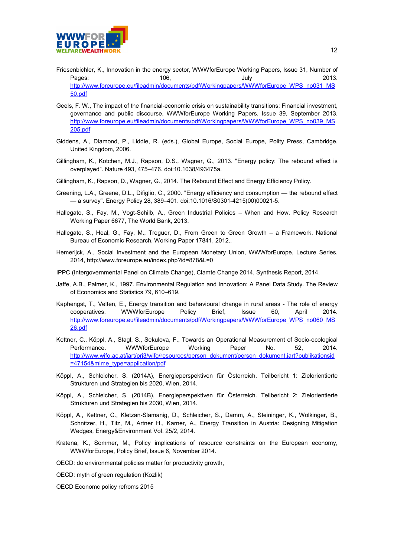

- Friesenbichler, K., Innovation in the energy sector, WWWforEurope Working Papers, Issue 31, Number of Pages: 106, July 2013. [http://www.foreurope.eu/fileadmin/documents/pdf/Workingpapers/WWWforEurope\\_WPS\\_no031\\_MS](http://www.foreurope.eu/fileadmin/documents/pdf/Workingpapers/WWWforEurope_WPS_no031_MS50.pdf) [50.pdf](http://www.foreurope.eu/fileadmin/documents/pdf/Workingpapers/WWWforEurope_WPS_no031_MS50.pdf)
- Geels, F. W., The impact of the financial-economic crisis on sustainability transitions: Financial investment, governance and public discourse, WWWforEurope Working Papers, Issue 39, September 2013. [http://www.foreurope.eu/fileadmin/documents/pdf/Workingpapers/WWWforEurope\\_WPS\\_no039\\_MS](http://www.foreurope.eu/fileadmin/documents/pdf/Workingpapers/WWWforEurope_WPS_no039_MS205.pdf) [205.pdf](http://www.foreurope.eu/fileadmin/documents/pdf/Workingpapers/WWWforEurope_WPS_no039_MS205.pdf)
- Giddens, A., Diamond, P., Liddle, R. (eds.), Global Europe, Social Europe, Polity Press, Cambridge, United Kingdom, 2006.
- Gillingham, K., Kotchen, M.J., Rapson, D.S., Wagner, G., 2013. "Energy policy: The rebound effect is overplayed". Nature 493, 475–476. doi:10.1038/493475a.
- Gillingham, K., Rapson, D., Wagner, G., 2014. The Rebound Effect and Energy Efficiency Policy.
- Greening, L.A., Greene, D.L., Difiglio, C., 2000. "Energy efficiency and consumption the rebound effect — a survey". Energy Policy 28, 389–401. doi:10.1016/S0301-4215(00)00021-5.
- Hallegate, S., Fay, M., Vogt-Schilb, A., Green Industrial Policies When and How. Policy Research Working Paper 6677, The World Bank, 2013.
- Hallegate, S., Heal, G., Fay, M., Treguer, D., From Green to Green Growth a Framework. National Bureau of Economic Research, Working Paper 17841, 2012..
- Hemerijck, A., Social Investment and the European Monetary Union, WWWforEurope, Lecture Series, 2014, http://www.foreurope.eu/index.php?id=878&L=0
- IPPC (Intergovernmental Panel on Climate Change), Clamte Change 2014, Synthesis Report, 2014.
- Jaffe, A.B., Palmer, K., 1997. Environmental Regulation and Innovation: A Panel Data Study. The Review of Economics and Statistics 79, 610–619.
- Kaphengst, T., Velten, E., Energy transition and behavioural change in rural areas The role of energy cooperatives, WWWforEurope Policy Brief, Issue 60, April 2014. [http://www.foreurope.eu/fileadmin/documents/pdf/Workingpapers/WWWforEurope\\_WPS\\_no060\\_MS](http://www.foreurope.eu/fileadmin/documents/pdf/Workingpapers/WWWforEurope_WPS_no060_MS26.pdf) [26.pdf](http://www.foreurope.eu/fileadmin/documents/pdf/Workingpapers/WWWforEurope_WPS_no060_MS26.pdf)
- Kettner, C., Köppl, A., Stagl, S., Sekulova, F., Towards an Operational Measurement of Socio-ecological Performance. WWWforEurope Working Paper No. 52, 2014. [http://www.wifo.ac.at/jart/prj3/wifo/resources/person\\_dokument/person\\_dokument.jart?publikationsid](http://www.wifo.ac.at/jart/prj3/wifo/resources/person_dokument/person_dokument.jart?publikationsid=47154&mime_type=application/pdf) [=47154&mime\\_type=application/pdf](http://www.wifo.ac.at/jart/prj3/wifo/resources/person_dokument/person_dokument.jart?publikationsid=47154&mime_type=application/pdf)
- Köppl, A., Schleicher, S. (2014A), Energieperspektiven für Österreich. Teilbericht 1: Zielorientierte Strukturen und Strategien bis 2020, Wien, 2014.
- Köppl, A., Schleicher, S. (2014B), Energieperspektiven für Österreich. Teilbericht 2: Zielorientierte Strukturen und Strategien bis 2030, Wien, 2014.
- [Köppl,](http://multi-science.metapress.com/content/?Author=Angela+K%c3%b6ppl) A., [Kettner,](http://multi-science.metapress.com/content/?Author=Claudia+Kettner) C., [Kletzan-Slamanig,](http://multi-science.metapress.com/content/?Author=Daniela+Kletzan-Slamanig) [D., Schleicher,](http://multi-science.metapress.com/content/?Author=Stefan+Schleicher) S., [Damm,](http://multi-science.metapress.com/content/?Author=Andrea+Damm) [A., Steininger,](http://multi-science.metapress.com/content/?Author=Karl+Steininger) K., [Wolkinger,](http://multi-science.metapress.com/content/?Author=Brigitte+Wolkinger) B.[,](http://multi-science.metapress.com/content/?Author=Hans+Schnitzer) [Schnitzer,](http://multi-science.metapress.com/content/?Author=Hans+Schnitzer) H., [Titz,](http://multi-science.metapress.com/content/?Author=Michaela+Titz) M., [Artner H.,](http://multi-science.metapress.com/content/?Author=Heidemarie+Artner) [Karner, A., Energy Transition in Austria: Designing Mitigation](http://multi-science.metapress.com/content/?Author=Heidemarie+Artner)  Wedges, Energy&Environment Vol. 25/2, 2014.
- Kratena, K., Sommer, M., Policy implications of resource constraints on the European economy, WWWforEurope, Policy Brief, Issue 6, November 2014.
- OECD: do environmental policies matter for productivity growth,
- OECD: myth of green regulation (Kozlik)
- OECD Economc policy refroms 2015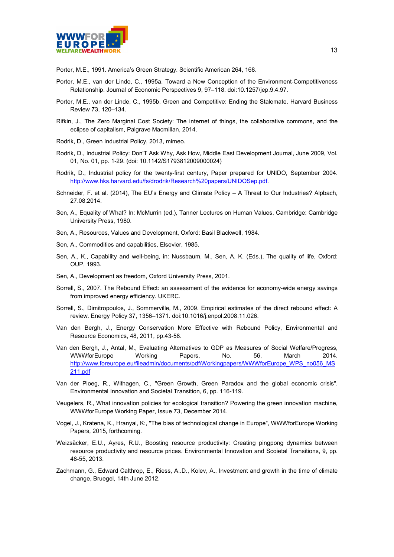

Porter, M.E., 1991. America's Green Strategy. Scientific American 264, 168.

- Porter, M.E., van der Linde, C., 1995a. Toward a New Conception of the Environment-Competitiveness Relationship. Journal of Economic Perspectives 9, 97–118. doi:10.1257/jep.9.4.97.
- Porter, M.E., van der Linde, C., 1995b. Green and Competitive: Ending the Stalemate. Harvard Business Review 73, 120–134.
- Rifkin, J., The Zero Marginal Cost Society: The internet of things, the collaborative commons, and the eclipse of capitalism, Palgrave Macmillan, 2014.
- Rodrik, D., Green Industrial Policy, 2013, mimeo.
- Rodrik, D., Industrial Policy: Don'T Ask Why, Ask How, Middle East Development Journal, June 2009, Vol. 01, No. 01, pp. 1-29. (doi: 10.1142/S1793812009000024)
- Rodrik, D., Industrial policy for the twenty-first century, Paper prepared for UNIDO, September 2004. [http://www.hks.harvard.edu/fs/drodrik/Research%20papers/UNIDOSep.pdf.](http://www.hks.harvard.edu/fs/drodrik/Research%20papers/UNIDOSep.pdf)
- Schneider, F. et al. (2014), The EU's Energy and Climate Policy A Threat to Our Industries? Alpbach, 27.08.2014.
- Sen, A., Equality of What? In: McMurrin (ed.), Tanner Lectures on Human Values, Cambridge: Cambridge University Press, 1980.
- Sen, A., Resources, Values and Development, Oxford: Basil Blackwell, 1984.
- Sen, A., Commodities and capabilities, Elsevier, 1985.
- Sen, A., K., Capability and well-being, in: Nussbaum, M., Sen, A. K. (Eds.), The quality of life, Oxford: OUP, 1993.
- Sen, A., Development as freedom, Oxford University Press, 2001.
- Sorrell, S., 2007. The Rebound Effect: an assessment of the evidence for economy-wide energy savings from improved energy efficiency. UKERC.
- Sorrell, S., Dimitropoulos, J., Sommerville, M., 2009. Empirical estimates of the direct rebound effect: A review. Energy Policy 37, 1356–1371. doi:10.1016/j.enpol.2008.11.026.
- Van den Bergh, J., Energy Conservation More Effective with Rebound Policy, Environmental and Resource Economics, 48, 2011, pp.43-58.
- Van den Bergh, J., Antal, M., Evaluating Alternatives to GDP as Measures of Social Welfare/Progress, WWWforEurope Working Papers, No. 56, March 2014. [http://www.foreurope.eu/fileadmin/documents/pdf/Workingpapers/WWWforEurope\\_WPS\\_no056\\_MS](http://www.foreurope.eu/fileadmin/documents/pdf/Workingpapers/WWWforEurope_WPS_no056_MS211.pdf) [211.pdf](http://www.foreurope.eu/fileadmin/documents/pdf/Workingpapers/WWWforEurope_WPS_no056_MS211.pdf)
- Van der Ploeg, R., Withagen, C., "Green Growth, Green Paradox and the global economic crisis". Environmental Innovation and Societal Transition, 6, pp. 116-119.
- Veugelers, R., What innovation policies for ecological transition? Powering the green innovation machine, WWWforEurope Working Paper, Issue 73, December 2014.
- Vogel, J., Kratena, K., Hranyai, K:, "The bias of technological change in Europe", WWWforEurope Working Papers, 2015, forthcoming.
- Weizsäcker, E.U., Ayres, R.U., Boosting resource productivity: Creating pingpong dynamics between resource productivity and resource prices. Environmental Innovation and Scoietal Transitions, 9, pp. 48-55, 2013.
- Zachmann, G., Edward Calthrop, E., Riess, A..D., Kolev, A., Investment and growth in the time of climate change, Bruegel, 14th June 2012.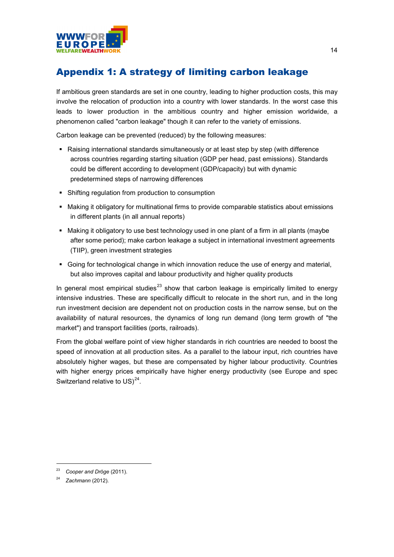

# Appendix 1: A strategy of limiting carbon leakage

If ambitious green standards are set in one country, leading to higher production costs, this may involve the relocation of production into a country with lower standards. In the worst case this leads to lower production in the ambitious country and higher emission worldwide, a phenomenon called "carbon leakage" though it can refer to the variety of emissions.

Carbon leakage can be prevented (reduced) by the following measures:

- Raising international standards simultaneously or at least step by step (with difference across countries regarding starting situation (GDP per head, past emissions). Standards could be different according to development (GDP/capacity) but with dynamic predetermined steps of narrowing differences
- Shifting regulation from production to consumption
- Making it obligatory for multinational firms to provide comparable statistics about emissions in different plants (in all annual reports)
- Making it obligatory to use best technology used in one plant of a firm in all plants (maybe after some period); make carbon leakage a subject in international investment agreements (TIIP), green investment strategies
- Going for technological change in which innovation reduce the use of energy and material, but also improves capital and labour productivity and higher quality products

In general most empirical studies<sup>[23](#page-15-0)</sup> show that carbon leakage is empirically limited to energy intensive industries. These are specifically difficult to relocate in the short run, and in the long run investment decision are dependent not on production costs in the narrow sense, but on the availability of natural resources, the dynamics of long run demand (long term growth of "the market") and transport facilities (ports, railroads).

From the global welfare point of view higher standards in rich countries are needed to boost the speed of innovation at all production sites. As a parallel to the labour input, rich countries have absolutely higher wages, but these are compensated by higher labour productivity. Countries with higher energy prices empirically have higher energy productivity (see Europe and spec Switzerland relative to US) $^{24}$  $^{24}$  $^{24}$ .

<span id="page-15-0"></span> <sup>23</sup> *Cooper and Dröge* (2011).

<span id="page-15-1"></span><sup>24</sup> *Zachmann* (2012).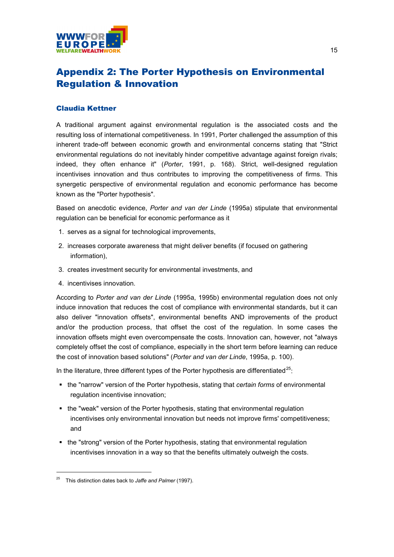

# Appendix 2: The Porter Hypothesis on Environmental Regulation & Innovation

#### Claudia Kettner

A traditional argument against environmental regulation is the associated costs and the resulting loss of international competitiveness. In 1991, Porter challenged the assumption of this inherent trade-off between economic growth and environmental concerns stating that "Strict environmental regulations do not inevitably hinder competitive advantage against foreign rivals; indeed, they often enhance it" (*Porter*, 1991, p. 168). Strict, well-designed regulation incentivises innovation and thus contributes to improving the competitiveness of firms. This synergetic perspective of environmental regulation and economic performance has become known as the "Porter hypothesis".

Based on anecdotic evidence, *Porter and van der Linde* (1995a) stipulate that environmental regulation can be beneficial for economic performance as it

- 1. serves as a signal for technological improvements,
- 2. increases corporate awareness that might deliver benefits (if focused on gathering information),
- 3. creates investment security for environmental investments, and
- 4. incentivises innovation.

According to *Porter and van der Linde* (1995a, 1995b) environmental regulation does not only induce innovation that reduces the cost of compliance with environmental standards, but it can also deliver "innovation offsets", environmental benefits AND improvements of the product and/or the production process, that offset the cost of the regulation. In some cases the innovation offsets might even overcompensate the costs. Innovation can, however, not "always completely offset the cost of compliance, especially in the short term before learning can reduce the cost of innovation based solutions" (*Porter and van der Linde*, 1995a, p. 100).

In the literature, three different types of the Porter hypothesis are differentiated<sup>[25](#page-16-0)</sup>:

- the "narrow" version of the Porter hypothesis, stating that *certain forms* of environmental regulation incentivise innovation;
- the "weak" version of the Porter hypothesis, stating that environmental regulation incentivises only environmental innovation but needs not improve firms' competitiveness; and
- the "strong" version of the Porter hypothesis, stating that environmental regulation incentivises innovation in a way so that the benefits ultimately outweigh the costs.

<span id="page-16-0"></span> <sup>25</sup> This distinction dates back to *Jaffe and Palmer* (1997).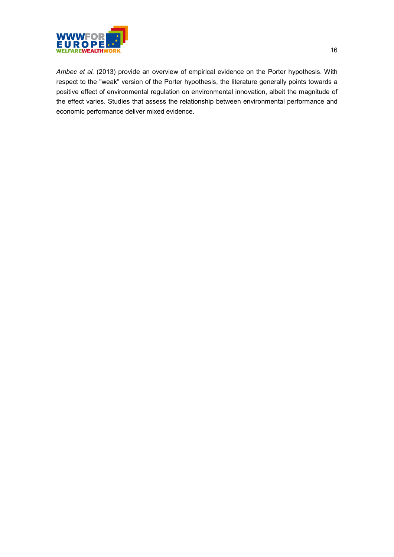

*Ambec et al.* (2013) provide an overview of empirical evidence on the Porter hypothesis. With respect to the "weak" version of the Porter hypothesis, the literature generally points towards a positive effect of environmental regulation on environmental innovation, albeit the magnitude of the effect varies. Studies that assess the relationship between environmental performance and economic performance deliver mixed evidence.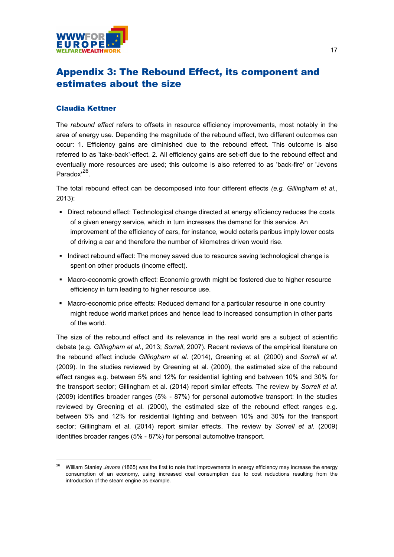

# Appendix 3: The Rebound Effect, its component and estimates about the size

#### Claudia Kettner

The *rebound effect* refers to offsets in resource efficiency improvements, most notably in the area of energy use. Depending the magnitude of the rebound effect, two different outcomes can occur: 1. Efficiency gains are diminished due to the rebound effect. This outcome is also referred to as 'take-back'-effect. 2. All efficiency gains are set-off due to the rebound effect and eventually more resources are used; this outcome is also referred to as 'back-fire' or 'Jevons Paradox'<sup>[26](#page-18-0)</sup>.

The total rebound effect can be decomposed into four different effects *(e.g. Gillingham et al.*, 2013):

- Direct rebound effect: Technological change directed at energy efficiency reduces the costs of a given energy service, which in turn increases the demand for this service. An improvement of the efficiency of cars, for instance, would ceteris paribus imply lower costs of driving a car and therefore the number of kilometres driven would rise.
- Indirect rebound effect: The money saved due to resource saving technological change is spent on other products (income effect).
- Macro-economic growth effect: Economic growth might be fostered due to higher resource efficiency in turn leading to higher resource use.
- Macro-economic price effects: Reduced demand for a particular resource in one country might reduce world market prices and hence lead to increased consumption in other parts of the world.

The size of the rebound effect and its relevance in the real world are a subject of scientific debate (e.g. *Gillingham et al.*, 2013; *Sorrell*, 2007). Recent reviews of the empirical literature on the rebound effect include *Gillingham et al.* (2014), Greening et al. (2000) and *Sorrell et al*. (2009). In the studies reviewed by Greening et al. (2000), the estimated size of the rebound effect ranges e.g. between 5% and 12% for residential lighting and between 10% and 30% for the transport sector; Gillingham et al. (2014) report similar effects. The review by *Sorrell et al.* (2009) identifies broader ranges (5% - 87%) for personal automotive transport: In the studies reviewed by Greening et al. (2000), the estimated size of the rebound effect ranges e.g. between 5% and 12% for residential lighting and between 10% and 30% for the transport sector; Gillingham et al. (2014) report similar effects. The review by *Sorrell et al.* (2009) identifies broader ranges (5% - 87%) for personal automotive transport.

<span id="page-18-0"></span> <sup>26</sup> William Stanley *Jevons* (1865) was the first to note that improvements in energy efficiency may increase the energy consumption of an economy, using increased coal consumption due to cost reductions resulting from the introduction of the steam engine as example.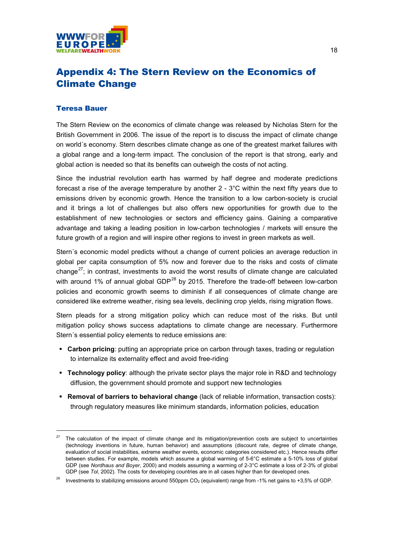

# Appendix 4: The Stern Review on the Economics of Climate Change

#### Teresa Bauer

The Stern Review on the economics of climate change was released by Nicholas Stern for the British Government in 2006. The issue of the report is to discuss the impact of climate change on world´s economy. Stern describes climate change as one of the greatest market failures with a global range and a long-term impact. The conclusion of the report is that strong, early and global action is needed so that its benefits can outweigh the costs of not acting.

Since the industrial revolution earth has warmed by half degree and moderate predictions forecast a rise of the average temperature by another 2 - 3°C within the next fifty years due to emissions driven by economic growth. Hence the transition to a low carbon-society is crucial and it brings a lot of challenges but also offers new opportunities for growth due to the establishment of new technologies or sectors and efficiency gains. Gaining a comparative advantage and taking a leading position in low-carbon technologies / markets will ensure the future growth of a region and will inspire other regions to invest in green markets as well.

Stern´s economic model predicts without a change of current policies an average reduction in global per capita consumption of 5% now and forever due to the risks and costs of climate change<sup>27</sup>; in contrast, investments to avoid the worst results of climate change are calculated with around 1% of annual global GDP<sup>[28](#page-19-1)</sup> by 2015. Therefore the trade-off between low-carbon policies and economic growth seems to diminish if all consequences of climate change are considered like extreme weather, rising sea levels, declining crop yields, rising migration flows.

Stern pleads for a strong mitigation policy which can reduce most of the risks. But until mitigation policy shows success adaptations to climate change are necessary. Furthermore Stern´s essential policy elements to reduce emissions are:

- **Carbon pricing**: putting an appropriate price on carbon through taxes, trading or regulation to internalize its externality effect and avoid free-riding
- **Technology policy**: although the private sector plays the major role in R&D and technology diffusion, the government should promote and support new technologies
- **Removal of barriers to behavioral change** (lack of reliable information, transaction costs): through regulatory measures like minimum standards, information policies, education

<span id="page-19-0"></span> $27$  The calculation of the impact of climate change and its mitigation/prevention costs are subject to uncertainties (technology inventions in future, human behavior) and assumptions (discount rate, degree of climate change, evaluation of social instabilities, extreme weather events, economic categories considered etc.). Hence results differ between studies. For example, models which assume a global warming of 5-6°C estimate a 5-10% loss of global GDP (see *Nordhaus and Boyer*, 2000) and models assuming a warming of 2-3°C estimate a loss of 2-3% of global GDP (see *Tol*, 2002). The costs for developing countries are in all cases higher than for developed ones.

<span id="page-19-1"></span><sup>&</sup>lt;sup>28</sup> Investments to stabilizing emissions around 550ppm CO<sub>2</sub> (equivalent) range from -1% net gains to +3,5% of GDP.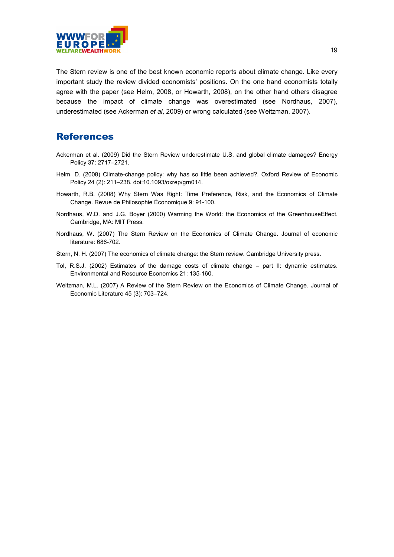

The Stern review is one of the best known economic reports about climate change. Like every important study the review divided economists' positions. On the one hand economists totally agree with the paper (see Helm, 2008, or Howarth, 2008), on the other hand others disagree because the impact of climate change was overestimated (see Nordhaus, 2007), underestimated (see Ackerman *et al*, 2009) or wrong calculated (see Weitzman, 2007).

### References

- Ackerman et al. (2009) Did the Stern Review underestimate U.S. and global climate damages? [Energy](http://de.wikipedia.org/wiki/Energy_Policy)  [Policy](http://de.wikipedia.org/wiki/Energy_Policy) 37: 2717–2721.
- Helm, D. (2008) [Climate-change policy: why has so little been achieved?.](http://www.dieterhelm.co.uk/publications/Why_so_little_08.pdf) Oxford Review of Economic Policy 24 (2): 211–238. [doi:](http://en.wikipedia.org/wiki/Digital_object_identifier)[10.1093/oxrep/grn014.](http://dx.doi.org/10.1093%2Foxrep%2Fgrn014)
- Howarth, R.B. (2008) Why Stern Was Right: Time Preference, Risk, and the Economics of Climate Change. Revue de Philosophie Économique 9: 91-100.
- Nordhaus, W.D. and J.G. Boyer (2000) Warming the World: the Economics of the GreenhouseEffect. Cambridge, MA: MIT Press.
- Nordhaus, W. (2007) The Stern Review on the Economics of Climate Change. Journal of economic literature: 686-702.
- Stern, N. H. (2007) The economics of climate change: the Stern review. Cambridge University press.
- Tol, R.S.J. (2002) Estimates of the damage costs of climate change part II: dynamic estimates. Environmental and Resource Economics 21: 135-160.
- Weitzman, M.L. (2007) A Review of the Stern Review on the Economics of Climate Change. Journal of Economic Literature 45 (3): 703–724.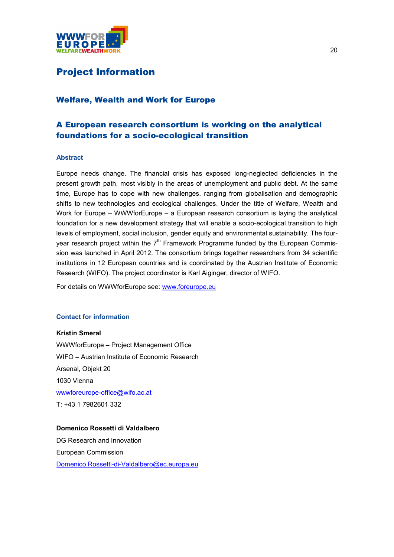

### Project Information

### Welfare, Wealth and Work for Europe

### A European research consortium is working on the analytical foundations for a socio-ecological transition

#### **Abstract**

Europe needs change. The financial crisis has exposed long-neglected deficiencies in the present growth path, most visibly in the areas of unemployment and public debt. At the same time, Europe has to cope with new challenges, ranging from globalisation and demographic shifts to new technologies and ecological challenges. Under the title of Welfare, Wealth and Work for Europe – WWWforEurope – a European research consortium is laying the analytical foundation for a new development strategy that will enable a socio-ecological transition to high levels of employment, social inclusion, gender equity and environmental sustainability. The fouryear research project within the  $7<sup>th</sup>$  Framework Programme funded by the European Commission was launched in April 2012. The consortium brings together researchers from 34 scientific institutions in 12 European countries and is coordinated by the Austrian Institute of Economic Research (WIFO). The project coordinator is Karl Aiginger, director of WIFO.

For details on WWWforEurope see: [www.foreurope.eu](http://www.foreurope.eu/)

#### **Contact for information**

**Kristin Smeral** WWWforEurope – Project Management Office WIFO – Austrian Institute of Economic Research Arsenal, Objekt 20 1030 Vienna [wwwforeurope-office@wifo.ac.at](mailto:wwwforeurope-office@wifo.ac.at) T: +43 1 7982601 332

#### **Domenico Rossetti di Valdalbero**

DG Research and Innovation European Commission [Domenico.Rossetti-di-Valdalbero@ec.europa.eu](mailto:Domenico.Rossetti-di-Valdalbero@ec.europa.eu)